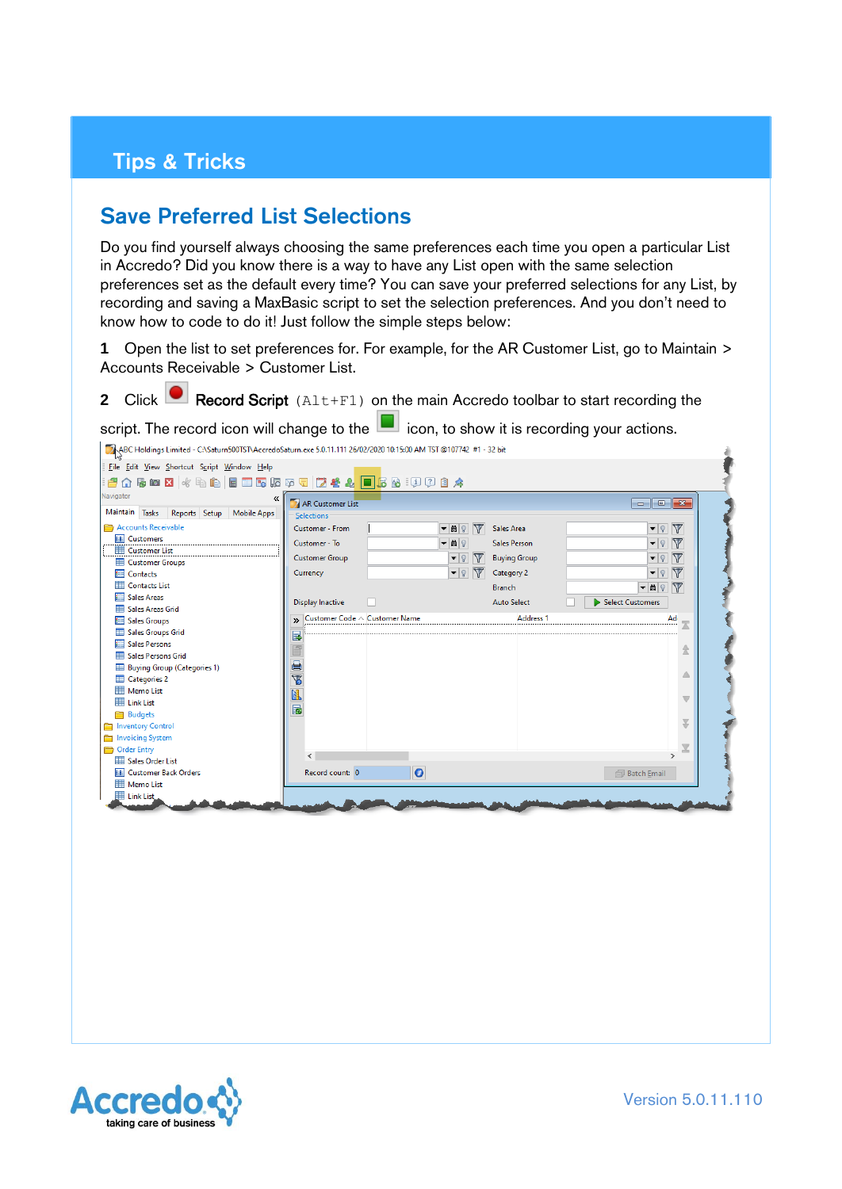## Tips & Tricks

## Save Preferred List Selections

Do you find yourself always choosing the same preferences each time you open a particular List in Accredo? Did you know there is a way to have any List open with the same selection preferences set as the default every time? You can save your preferred selections for any List, by recording and saving a MaxBasic script to set the selection preferences. And you don't need to know how to code to do it! Just follow the simple steps below:

**1** Open the list to set preferences for. For example, for the AR Customer List, go to Maintain > Accounts Receivable > Customer List.

**2** Click **C** Record Script (Alt+F1) on the main Accredo toolbar to start recording the

script. The record icon will change to the  $\Box$  icon, to show it is recording your actions.

| File Edit View Shortcut Script Window Help                                                                                                                                                                                   |                                                                                          |                                                                   |                                                          |                                                                                                                                                                                                                                                                                                                                                                                                                                                       |                                                         |
|------------------------------------------------------------------------------------------------------------------------------------------------------------------------------------------------------------------------------|------------------------------------------------------------------------------------------|-------------------------------------------------------------------|----------------------------------------------------------|-------------------------------------------------------------------------------------------------------------------------------------------------------------------------------------------------------------------------------------------------------------------------------------------------------------------------------------------------------------------------------------------------------------------------------------------------------|---------------------------------------------------------|
| Vavigator<br>《<br>Maintain Tasks<br>Reports Setup Mobile Apps                                                                                                                                                                | AR Customer List                                                                         |                                                                   |                                                          | $\begin{array}{c c c c c} \hline \multicolumn{1}{c }{\mathbf{.}} & \multicolumn{1}{c }{\mathbf{.}} & \multicolumn{1}{c }{\mathbf{.}} & \multicolumn{1}{c }{\mathbf{.}} & \multicolumn{1}{c }{\mathbf{.}} & \multicolumn{1}{c }{\mathbf{.}} & \multicolumn{1}{c }{\mathbf{.}} & \multicolumn{1}{c }{\mathbf{.}} & \multicolumn{1}{c }{\mathbf{.}} & \multicolumn{1}{c }{\mathbf{.}} & \multicolumn{1}{c }{\mathbf{.}} & \multicolumn{1}{c }{\mathbf{.$ |                                                         |
| Accounts Receivable<br><b>EE</b> Customers<br><b>ED</b> Customer List<br>Customer Groups                                                                                                                                     | Selections<br>Customer - From<br>Customer - To<br><b>Customer Group</b>                  | $\nabla$<br>$ \frac{1}{2}$<br>▼開?<br>$\bullet$<br>$\triangledown$ | Sales Area<br><b>Sales Person</b><br><b>Buying Group</b> | $\left  \cdot \right $<br>▼   २  <br>▼ ।                                                                                                                                                                                                                                                                                                                                                                                                              | $\triangledown$<br>$\nabla$<br>$\nabla$                 |
| <b>Ell</b> Contacts<br><b>ED</b> Contacts List<br><b>Sales Areas</b>                                                                                                                                                         | Currency<br><b>Display Inactive</b>                                                      | $\blacktriangledown$                                              | Category 2<br><b>Branch</b><br><b>Auto Select</b>        | $\bullet$<br>▼問?<br>Select Customers                                                                                                                                                                                                                                                                                                                                                                                                                  | $\nabla$<br>$\overline{\mathbb{Y}}$                     |
| Sales Areas Grid<br><b>Em</b> Sales Groups<br>Sales Groups Grid<br><b>Exit Sales Persons</b><br>Sales Persons Grid<br>Buying Group (Categories 1)<br><b>Educated</b> Categories 2<br>Memo List<br><b>Example 1</b> Link List | >> Customer Code ^ Customer Name<br>Ę,<br>Ê<br>ē<br>$\overline{\mathbf{z}}$<br><b>EL</b> |                                                                   | <b>Address 1</b>                                         | Ad                                                                                                                                                                                                                                                                                                                                                                                                                                                    | $\overline{\mathbb{R}}$<br>Δ<br>$\overline{\mathbb{V}}$ |
| <b>Budgets</b><br>Inventory Control<br>Invoicing System                                                                                                                                                                      | $\overline{\mathbf{R}}$                                                                  |                                                                   |                                                          |                                                                                                                                                                                                                                                                                                                                                                                                                                                       | ¥                                                       |
| <b>Corder Entry</b><br>Sales Order List<br><b>EE Customer Back Orders</b><br><b>HI Memo List</b><br>El Link List                                                                                                             | $\langle$<br>Record count: 0                                                             | $\bullet$                                                         |                                                          | $\mathbf{r}$<br><b>图 Batch Email</b>                                                                                                                                                                                                                                                                                                                                                                                                                  |                                                         |

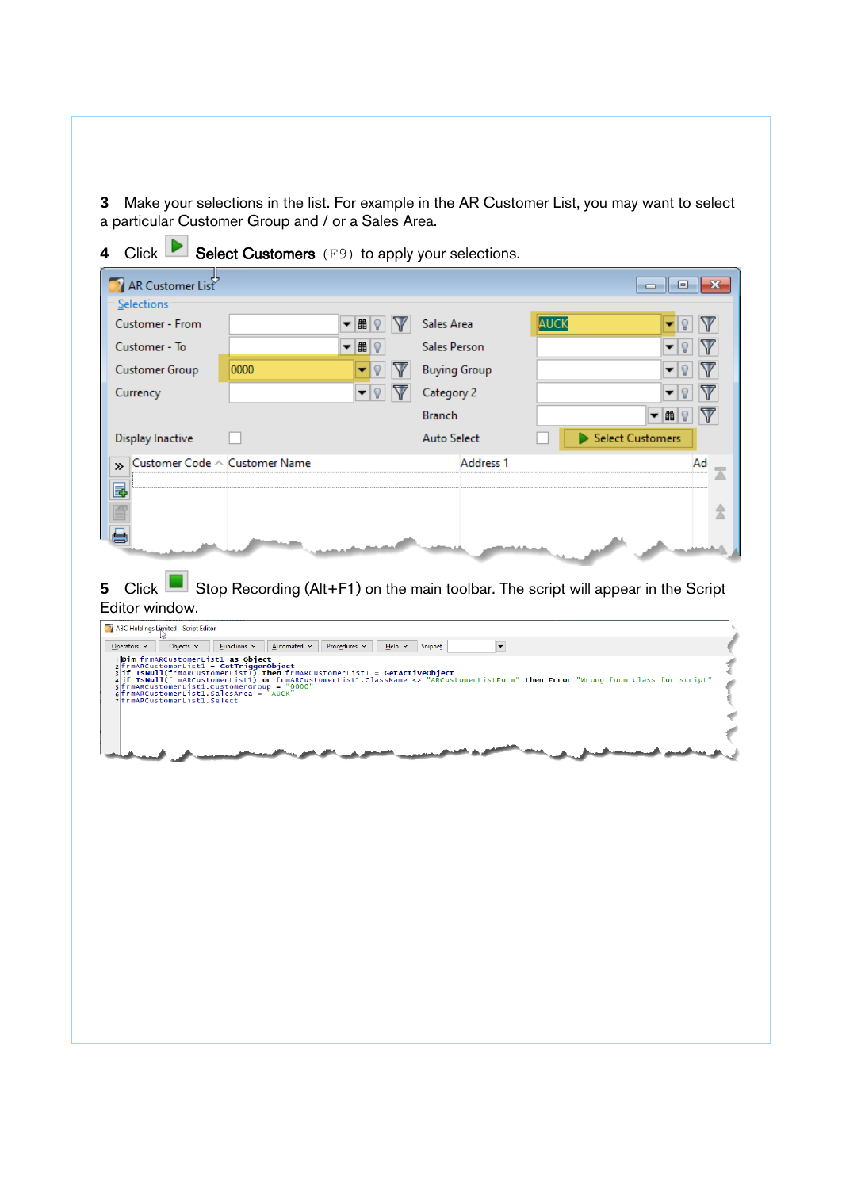**3** Make your selections in the list. For example in the AR Customer List, you may want to select a particular Customer Group and / or a Sales Area.

| AR Customer List<br>o<br>$\Box$<br>Selections<br>AUCK<br>Sales Area<br>曲<br>V<br>▼<br><b>Sales Person</b><br>曲?<br>▼<br><b>Customer Group</b><br>0000<br><b>Buying Group</b><br>Currency<br>Category 2<br>▼<br><b>Branch</b><br>曲<br>Select Customers<br><b>Display Inactive</b><br><b>Auto Select</b><br>Customer Code $\land$ Customer Name<br><b>Address 1</b><br>Ad<br>»<br>e<br>Stop Recording (Alt+F1) on the main toolbar. The script will appear in the Script<br>Click <sub>1</sub><br>Editor window.<br>ABC Holdings Limited - Script Editor<br>Objects $\sim$<br>$\Delta$ utomated $\sim$<br>Procedures v<br>▾<br>$Q$ perators $\sim$<br>Eunctions $\sim$<br>Help v<br>Snippet<br>1 Dim frmARCustomerList1 as Object<br>2 frmARCustomerList1 = GetTriggerObject<br>  "ISNUII(frmARCustomerList1) then frmARCustomerList1 = GetActiveObject<br>  if ISNUII(frmARCustomerList1) or frmARCustomerList1.className <> "ARCustomerListForm" then Error "Wrong form class for script"<br> sfrmARCustomerList1.<br>6 frmARCustomerList1. SalesArea =<br>7 frmARCustomerList1. Select |                 |  |     |
|-----------------------------------------------------------------------------------------------------------------------------------------------------------------------------------------------------------------------------------------------------------------------------------------------------------------------------------------------------------------------------------------------------------------------------------------------------------------------------------------------------------------------------------------------------------------------------------------------------------------------------------------------------------------------------------------------------------------------------------------------------------------------------------------------------------------------------------------------------------------------------------------------------------------------------------------------------------------------------------------------------------------------------------------------------------------------------------------|-----------------|--|-----|
|                                                                                                                                                                                                                                                                                                                                                                                                                                                                                                                                                                                                                                                                                                                                                                                                                                                                                                                                                                                                                                                                                         |                 |  | -23 |
|                                                                                                                                                                                                                                                                                                                                                                                                                                                                                                                                                                                                                                                                                                                                                                                                                                                                                                                                                                                                                                                                                         |                 |  |     |
|                                                                                                                                                                                                                                                                                                                                                                                                                                                                                                                                                                                                                                                                                                                                                                                                                                                                                                                                                                                                                                                                                         | Customer - From |  |     |
|                                                                                                                                                                                                                                                                                                                                                                                                                                                                                                                                                                                                                                                                                                                                                                                                                                                                                                                                                                                                                                                                                         | Customer - To   |  |     |
|                                                                                                                                                                                                                                                                                                                                                                                                                                                                                                                                                                                                                                                                                                                                                                                                                                                                                                                                                                                                                                                                                         |                 |  |     |
|                                                                                                                                                                                                                                                                                                                                                                                                                                                                                                                                                                                                                                                                                                                                                                                                                                                                                                                                                                                                                                                                                         |                 |  |     |
|                                                                                                                                                                                                                                                                                                                                                                                                                                                                                                                                                                                                                                                                                                                                                                                                                                                                                                                                                                                                                                                                                         |                 |  |     |
|                                                                                                                                                                                                                                                                                                                                                                                                                                                                                                                                                                                                                                                                                                                                                                                                                                                                                                                                                                                                                                                                                         |                 |  |     |
|                                                                                                                                                                                                                                                                                                                                                                                                                                                                                                                                                                                                                                                                                                                                                                                                                                                                                                                                                                                                                                                                                         |                 |  |     |
|                                                                                                                                                                                                                                                                                                                                                                                                                                                                                                                                                                                                                                                                                                                                                                                                                                                                                                                                                                                                                                                                                         |                 |  |     |
|                                                                                                                                                                                                                                                                                                                                                                                                                                                                                                                                                                                                                                                                                                                                                                                                                                                                                                                                                                                                                                                                                         |                 |  |     |
|                                                                                                                                                                                                                                                                                                                                                                                                                                                                                                                                                                                                                                                                                                                                                                                                                                                                                                                                                                                                                                                                                         |                 |  | î   |
|                                                                                                                                                                                                                                                                                                                                                                                                                                                                                                                                                                                                                                                                                                                                                                                                                                                                                                                                                                                                                                                                                         |                 |  |     |
|                                                                                                                                                                                                                                                                                                                                                                                                                                                                                                                                                                                                                                                                                                                                                                                                                                                                                                                                                                                                                                                                                         |                 |  |     |
|                                                                                                                                                                                                                                                                                                                                                                                                                                                                                                                                                                                                                                                                                                                                                                                                                                                                                                                                                                                                                                                                                         |                 |  |     |
|                                                                                                                                                                                                                                                                                                                                                                                                                                                                                                                                                                                                                                                                                                                                                                                                                                                                                                                                                                                                                                                                                         |                 |  |     |
|                                                                                                                                                                                                                                                                                                                                                                                                                                                                                                                                                                                                                                                                                                                                                                                                                                                                                                                                                                                                                                                                                         |                 |  |     |
|                                                                                                                                                                                                                                                                                                                                                                                                                                                                                                                                                                                                                                                                                                                                                                                                                                                                                                                                                                                                                                                                                         |                 |  |     |
|                                                                                                                                                                                                                                                                                                                                                                                                                                                                                                                                                                                                                                                                                                                                                                                                                                                                                                                                                                                                                                                                                         |                 |  |     |
|                                                                                                                                                                                                                                                                                                                                                                                                                                                                                                                                                                                                                                                                                                                                                                                                                                                                                                                                                                                                                                                                                         |                 |  |     |
|                                                                                                                                                                                                                                                                                                                                                                                                                                                                                                                                                                                                                                                                                                                                                                                                                                                                                                                                                                                                                                                                                         |                 |  |     |
|                                                                                                                                                                                                                                                                                                                                                                                                                                                                                                                                                                                                                                                                                                                                                                                                                                                                                                                                                                                                                                                                                         |                 |  |     |
|                                                                                                                                                                                                                                                                                                                                                                                                                                                                                                                                                                                                                                                                                                                                                                                                                                                                                                                                                                                                                                                                                         |                 |  |     |
|                                                                                                                                                                                                                                                                                                                                                                                                                                                                                                                                                                                                                                                                                                                                                                                                                                                                                                                                                                                                                                                                                         |                 |  |     |
|                                                                                                                                                                                                                                                                                                                                                                                                                                                                                                                                                                                                                                                                                                                                                                                                                                                                                                                                                                                                                                                                                         |                 |  |     |
|                                                                                                                                                                                                                                                                                                                                                                                                                                                                                                                                                                                                                                                                                                                                                                                                                                                                                                                                                                                                                                                                                         |                 |  |     |
|                                                                                                                                                                                                                                                                                                                                                                                                                                                                                                                                                                                                                                                                                                                                                                                                                                                                                                                                                                                                                                                                                         |                 |  |     |
|                                                                                                                                                                                                                                                                                                                                                                                                                                                                                                                                                                                                                                                                                                                                                                                                                                                                                                                                                                                                                                                                                         |                 |  |     |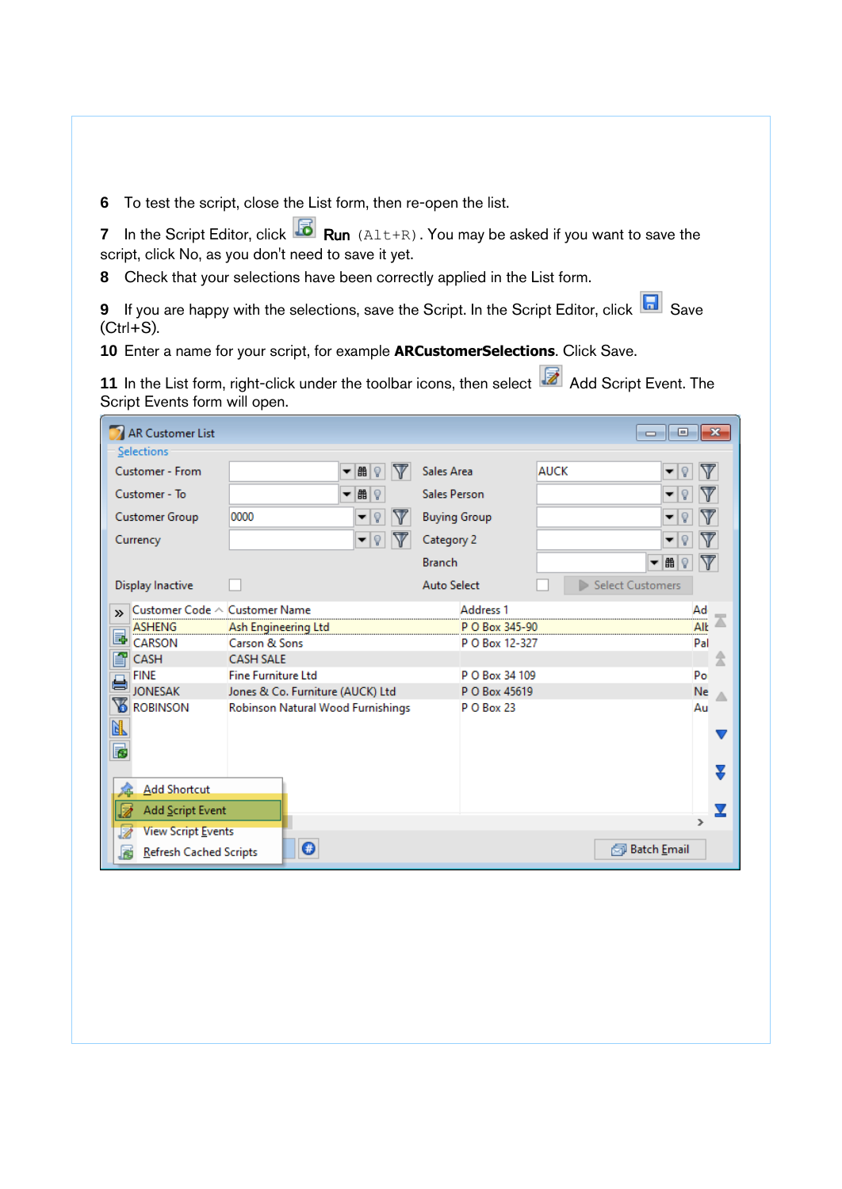**6** To test the script, close the List form, then re-open the list.

**7** In the Script Editor, click **Run** (Alt+R). You may be asked if you want to save the script, click No, as you don't need to save it yet.

**8** Check that your selections have been correctly applied in the List form.

**9** If you are happy with the selections, save the Script. In the Script Editor, click **R** Save  $(CtrI + S)$ .

**10** Enter a name for your script, for example **ARCustomerSelections**. Click Save.

11 In the List form, right-click under the toolbar icons, then select **A** Add Script Event. The Script Events form will open.

| AR Customer List<br>$\mathbf{x}$<br><b>o</b><br>Selections |                                   |                      |                  |             |  |  |  |
|------------------------------------------------------------|-----------------------------------|----------------------|------------------|-------------|--|--|--|
| <b>Customer - From</b>                                     | 醋<br>V<br>۰<br>Q                  | Sales Area           | <b>AUCK</b><br>Q |             |  |  |  |
| Customer - To                                              | 曲<br>Q<br>▼                       | <b>Sales Person</b>  | ୃ                |             |  |  |  |
| <b>Customer Group</b>                                      | 0000<br>V<br>Q                    | <b>Buying Group</b>  | Q                |             |  |  |  |
| Currency                                                   | V<br> Q <br>▼                     | Category 2           | Ÿ                |             |  |  |  |
|                                                            |                                   | <b>Branch</b>        | 畾<br>Ÿ<br>▼      |             |  |  |  |
| Display Inactive                                           |                                   | <b>Auto Select</b>   | Select Customers |             |  |  |  |
| Customer Code $\land$ Customer Name<br>$\mathbf{v}$        |                                   | Address <sub>1</sub> |                  | Ad          |  |  |  |
| <b>ASHENG</b>                                              | Ash Engineering Ltd               | P O Box 345-90       |                  | <br>Alk<br> |  |  |  |
| b<br>CARSON                                                | Carson & Sons                     | P O Box 12-327       |                  | Pal         |  |  |  |
| 昏<br>CASH                                                  | <b>CASH SALE</b>                  |                      |                  | 2           |  |  |  |
| <b>FINE</b>                                                | <b>Fine Furniture Ltd</b>         | P O Box 34 109       |                  | Po          |  |  |  |
| <b>JONESAK</b>                                             | Jones & Co. Furniture (AUCK) Ltd  | P O Box 45619        |                  | Ne          |  |  |  |
| 下<br><b>ROBINSON</b>                                       | Robinson Natural Wood Furnishings | <b>PO Box 23</b>     |                  | Au          |  |  |  |
| 团                                                          |                                   |                      |                  |             |  |  |  |
|                                                            |                                   |                      |                  | v           |  |  |  |
| B                                                          |                                   |                      |                  |             |  |  |  |
|                                                            |                                   |                      |                  |             |  |  |  |
| <b>Add Shortcut</b>                                        |                                   |                      |                  |             |  |  |  |
| Add Script Event                                           |                                   |                      |                  |             |  |  |  |
| <b>View Script Events</b>                                  |                                   |                      |                  |             |  |  |  |
| $\bullet$<br>园 Batch Email<br>Refresh Cached Scripts       |                                   |                      |                  |             |  |  |  |